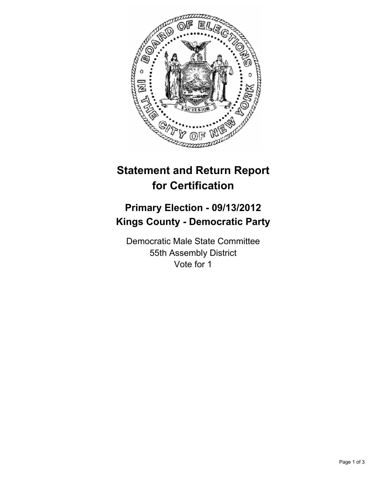

## **Statement and Return Report for Certification**

## **Primary Election - 09/13/2012 Kings County - Democratic Party**

Democratic Male State Committee 55th Assembly District Vote for 1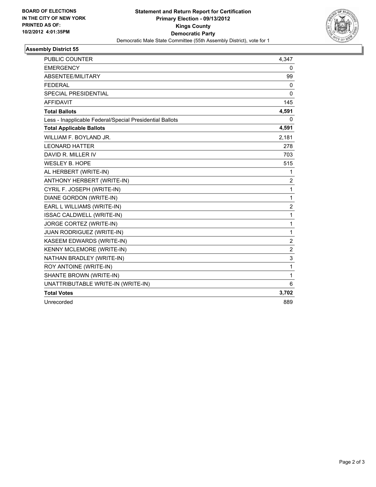

## **Assembly District 55**

| <b>PUBLIC COUNTER</b>                                    | 4,347          |
|----------------------------------------------------------|----------------|
| <b>EMERGENCY</b>                                         | 0              |
| ABSENTEE/MILITARY                                        | 99             |
| <b>FEDERAL</b>                                           | 0              |
| <b>SPECIAL PRESIDENTIAL</b>                              | $\mathbf{0}$   |
| <b>AFFIDAVIT</b>                                         | 145            |
| <b>Total Ballots</b>                                     | 4,591          |
| Less - Inapplicable Federal/Special Presidential Ballots | 0              |
| <b>Total Applicable Ballots</b>                          | 4,591          |
| WILLIAM F. BOYLAND JR.                                   | 2,181          |
| <b>LEONARD HATTER</b>                                    | 278            |
| DAVID R. MILLER IV                                       | 703            |
| <b>WESLEY B. HOPE</b>                                    | 515            |
| AL HERBERT (WRITE-IN)                                    | 1              |
| ANTHONY HERBERT (WRITE-IN)                               | $\overline{2}$ |
| CYRIL F. JOSEPH (WRITE-IN)                               | $\mathbf{1}$   |
| DIANE GORDON (WRITE-IN)                                  | $\mathbf{1}$   |
| EARL L WILLIAMS (WRITE-IN)                               | $\overline{c}$ |
| ISSAC CALDWELL (WRITE-IN)                                | $\mathbf{1}$   |
| JORGE CORTEZ (WRITE-IN)                                  | 1              |
| JUAN RODRIGUEZ (WRITE-IN)                                | $\mathbf{1}$   |
| KASEEM EDWARDS (WRITE-IN)                                | $\overline{2}$ |
| KENNY MCLEMORE (WRITE-IN)                                | $\overline{c}$ |
| NATHAN BRADLEY (WRITE-IN)                                | 3              |
| ROY ANTOINE (WRITE-IN)                                   | $\mathbf{1}$   |
| SHANTE BROWN (WRITE-IN)                                  | $\mathbf{1}$   |
| UNATTRIBUTABLE WRITE-IN (WRITE-IN)                       | 6              |
| <b>Total Votes</b>                                       | 3,702          |
| Unrecorded                                               | 889            |